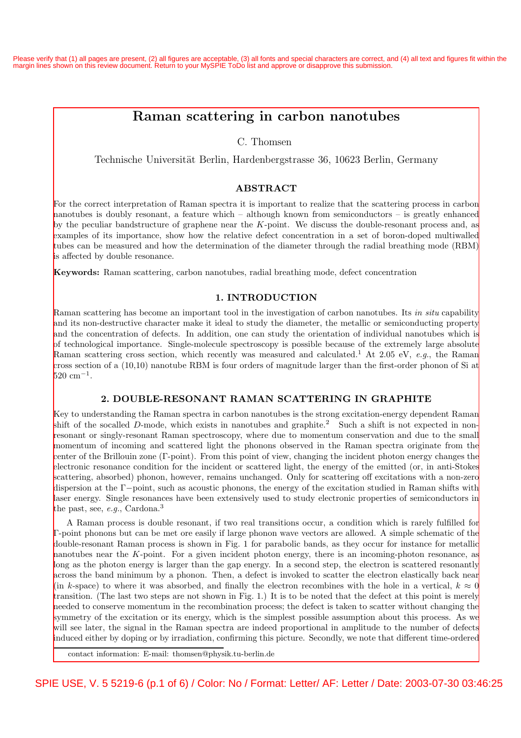# **Raman scattering in carbon nanotubes**

C. Thomsen

Technische Universität Berlin, Hardenbergstrasse 36, 10623 Berlin, Germany

#### **ABSTRACT**

For the correct interpretation of Raman spectra it is important to realize that the scattering process in carbon nanotubes is doubly resonant, a feature which – although known from semiconductors – is greatly enhanced by the peculiar bandstructure of graphene near the K-point. We discuss the double-resonant process and, as examples of its importance, show how the relative defect concentration in a set of boron-doped multiwalled tubes can be measured and how the determination of the diameter through the radial breathing mode (RBM) is affected by double resonance.

**Keywords:** Raman scattering, carbon nanotubes, radial breathing mode, defect concentration

#### **1. INTRODUCTION**

Raman scattering has become an important tool in the investigation of carbon nanotubes. Its *in situ* capability and its non-destructive character make it ideal to study the diameter, the metallic or semiconducting property and the concentration of defects. In addition, one can study the orientation of individual nanotubes which is of technological importance. Single-molecule spectroscopy is possible because of the extremely large absolute Raman scattering cross section, which recently was measured and calculated.<sup>1</sup> At 2.05 eV, *e.g.*, the Raman cross section of a (10,10) nanotube RBM is four orders of magnitude larger than the first-order phonon of Si at  $520 \text{ cm}^{-1}$ .

## **2. DOUBLE-RESONANT RAMAN SCATTERING IN GRAPHITE**

Key to understanding the Raman spectra in carbon nanotubes is the strong excitation-energy dependent Raman shift of the socalled D-mode, which exists in nanotubes and graphite.<sup>2</sup> Such a shift is not expected in nonresonant or singly-resonant Raman spectroscopy, where due to momentum conservation and due to the small momentum of incoming and scattered light the phonons observed in the Raman spectra originate from the center of the Brillouin zone (Γ-point). From this point of view, changing the incident photon energy changes the electronic resonance condition for the incident or scattered light, the energy of the emitted (or, in anti-Stokes scattering, absorbed) phonon, however, remains unchanged. Only for scattering off excitations with a non-zero dispersion at the Γ−point, such as acoustic phonons, the energy of the excitation studied in Raman shifts with laser energy. Single resonances have been extensively used to study electronic properties of semiconductors in the past, see, *e.g.*, Cardona.<sup>3</sup>

A Raman process is double resonant, if two real transitions occur, a condition which is rarely fulfilled for Γ-point phonons but can be met ore easily if large phonon wave vectors are allowed. A simple schematic of the double-resonant Raman process is shown in Fig. 1 for parabolic bands, as they occur for instance for metallic nanotubes near the K-point. For a given incident photon energy, there is an incoming-photon resonance, as long as the photon energy is larger than the gap energy. In a second step, the electron is scattered resonantly across the band minimum by a phonon. Then, a defect is invoked to scatter the electron elastically back near (in k-space) to where it was absorbed, and finally the electron recombines with the hole in a vertical,  $k \approx 0$ transition. (The last two steps are not shown in Fig. 1.) It is to be noted that the defect at this point is merely needed to conserve momentum in the recombination process; the defect is taken to scatter without changing the symmetry of the excitation or its energy, which is the simplest possible assumption about this process. As we will see later, the signal in the Raman spectra are indeed proportional in amplitude to the number of defects induced either by doping or by irradiation, confirming this picture. Secondly, we note that different time-ordered

contact information: E-mail: thomsen@physik.tu-berlin.de

SPIE USE, V. 5 5219-6 (p.1 of 6) / Color: No / Format: Letter/ AF: Letter / Date: 2003-07-30 03:46:25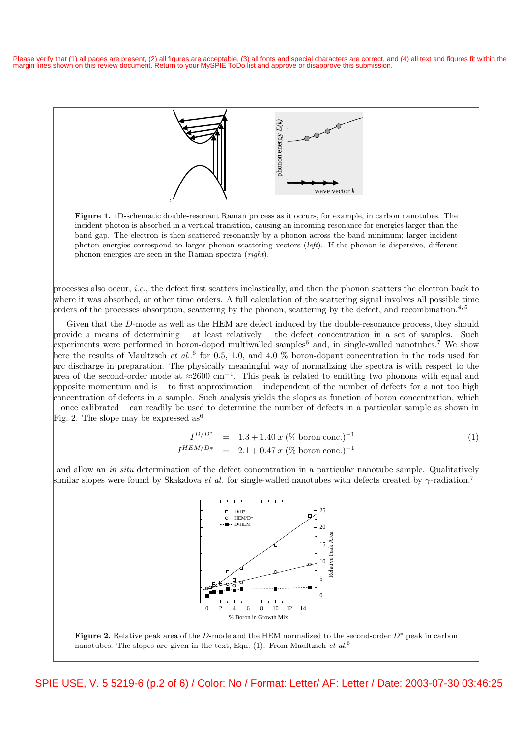

**Figure 1.** 1D-schematic double-resonant Raman process as it occurs, for example, in carbon nanotubes. The incident photon is absorbed in a vertical transition, causingan incomingresonance for energies larger than the band gap. The electron is then scattered resonantly by a phonon across the band minimum; larger incident photon energies correspond to larger phonon scattering vectors (*left*). If the phonon is dispersive, different phonon energies are seen in the Raman spectra (*right*).

processes also occur, *i.e.*, the defect first scatters inelastically, and then the phonon scatters the electron back to where it was absorbed, or other time orders. A full calculation of the scattering signal involves all possible time orders of the processes absorption, scattering by the phonon, scattering by the defect, and recombination. $4,5$ 

Given that the D-mode as well as the HEM are defect induced by the double-resonance process, they should provide a means of determining – at least relatively – the defect concentration in a set of samples. Such experiments were performed in boron-doped multiwalled samples<sup>6</sup> and, in single-walled nanotubes.<sup>7</sup> We show here the results of Maultzsch *et al.*.<sup>6</sup> for 0.5, 1.0, and 4.0 % boron-dopant concentration in the rods used for<br>arc discharge in preparation. The physically meaningful way of pormalizing the spectra is with respect to t arc discharge in preparation. The physically meaningful way of normalizing the spectra is with respect to the area of the second-order mode at  $\approx 2600 \text{ cm}^{-1}$ . This peak is related to emitting two phonons with equal and opposite momentum and is – to first approximation – independent of the number of defects for a not too high concentration of defects in a sample. Such analysis yields the slopes as function of boron concentration, which – once calibrated – can readily be used to determine the number of defects in a particular sample as shown in Fig. 2. The slope may be expressed  $\text{as}^6$ 

$$
I^{D/D^*} = 1.3 + 1.40 x (\% \text{ boron conc.})^{-1}
$$
  
\n
$$
I^{HEM/D^*} = 2.1 + 0.47 x (\% \text{ boron conc.})^{-1}
$$
\n(1)

and allow an *in situ* determination of the defect concentration in a particular nanotube sample. Qualitatively similar slopes were found by Skakalova *et al.* for single-walled nanotubes with defects created by <sup>γ</sup>-radiation.<sup>7</sup>



**Figure 2.** Relative peak area of the *<sup>D</sup>*-mode and the HEM normalized to the second-order *<sup>D</sup>*<sup>∗</sup> peak in carbon nanotubes. The slopes are given in the text, Eqn. (1). From Maultzsch *et al.*<sup>6</sup>

SPIE USE, V. 5 5219-6 (p.2 of 6) / Color: No / Format: Letter/ AF: Letter / Date: 2003-07-30 03:46:25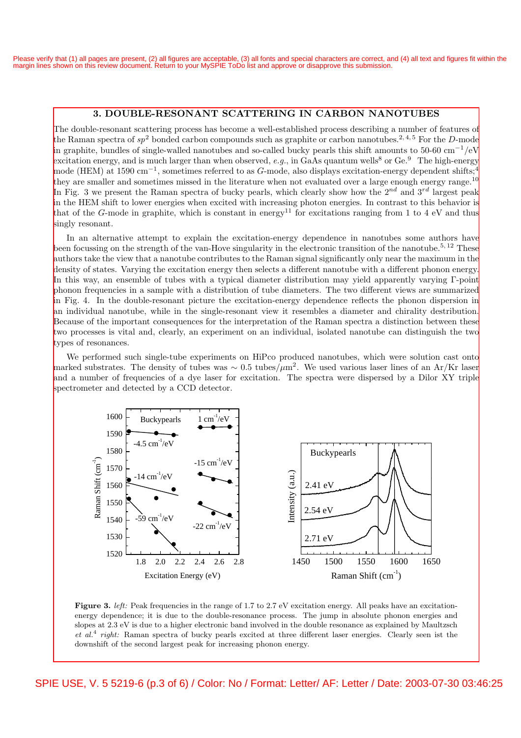## **3. DOUBLE-RESONANT SCATTERING IN CARBON NANOTUBES**

The double-resonant scattering process has become a well-established process describing a number of features of the Raman spectra of  $sp^2$  bonded carbon compounds such as graphite or carbon nanotubes.<sup>2, 4, 5</sup> For the D-mode in graphite, bundles of single-walled nanotubes and so-called bucky pearls this shift amounts to 50-60 cm−1/eV excitation energy, and is much larger than when observed, *e.g.*, in GaAs quantum wells<sup>8</sup> or Ge.<sup>9</sup> The high-energy mode (HEM) at 1590 cm<sup>-1</sup>, sometimes referred to as  $G$ -mode, also displays excitation-energy dependent shifts;<sup>4</sup> they are smaller and sometimes missed in the literature when not evaluated over a large enough energy range.<sup>10</sup> In Fig. 3 we present the Raman spectra of bucky pearls, which clearly show how the 2*nd* and 3*rd* largest peak in the HEM shift to lower energies when excited with increasing photon energies. In contrast to this behavior is that of the G-mode in graphite, which is constant in energy<sup>11</sup> for excitations ranging from 1 to 4 eV and thus singly resonant.

In an alternative attempt to explain the excitation-energy dependence in nanotubes some authors have been focussing on the strength of the van-Hove singularity in the electronic transition of the nanotube.<sup>5, 12</sup> These authors take the view that a nanotube contributes to the Raman signal significantly only near the maximum in the density of states. Varying the excitation energy then selects a different nanotube with a different phonon energy. In this way, an ensemble of tubes with a typical diameter distribution may yield apparently varying Γ-point phonon frequencies in a sample with a distribution of tube diameters. The two different views are summarized in Fig. 4. In the double-resonant picture the excitation-energy dependence reflects the phonon dispersion in an individual nanotube, while in the single-resonant view it resembles a diameter and chirality destribution. Because of the important consequences for the interpretation of the Raman spectra a distinction between these two processes is vital and, clearly, an experiment on an individual, isolated nanotube can distinguish the two types of resonances.

We performed such single-tube experiments on HiPco produced nanotubes, which were solution cast onto marked substrates. The density of tubes was  $\sim 0.5$  tubes/ $\mu$ m<sup>2</sup>. We used various laser lines of an Ar/Kr laser and a number of frequencies of a dye laser for excitation. The spectra were dispersed by a Dilor XY triple spectrometer and detected by a CCD detector.



**Figure 3.** *left:* Peak frequencies in the range of 1.7 to 2.7 eV excitation energy. All peaks have an excitationenergy dependence; it is due to the double-resonance process. The jump in absolute phonon energies and slopes at 2.3 eV is due to a higher electronic band involved in the double resonance as explained by Maultzsch *et al.*<sup>4</sup> *right:* Raman spectra of bucky pearls excited at three different laser energies. Clearly seen ist the downshift of the second largest peak for increasing phonon energy.

SPIE USE, V. 5 5219-6 (p.3 of 6) / Color: No / Format: Letter/ AF: Letter / Date: 2003-07-30 03:46:25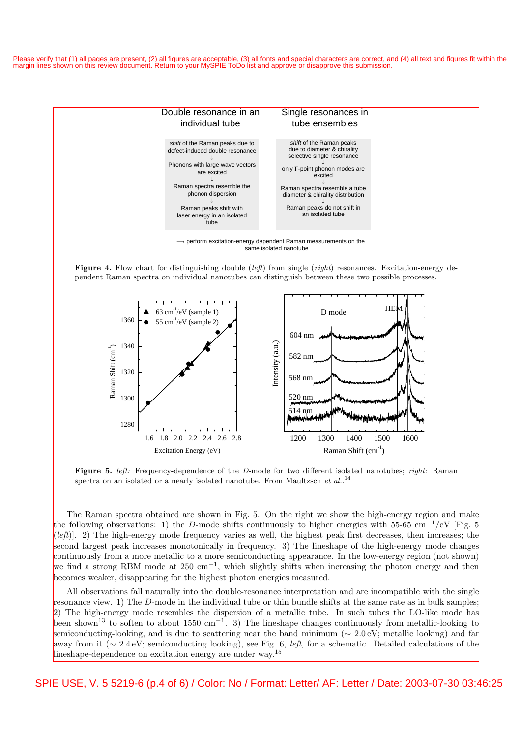

spectra on an isolated or a nearly isolated nanotube. From Maultzsch  $et al..<sup>14</sup>$ 

The Raman spectra obtained are shown in Fig. 5. On the right we show the high-energy region and make the following observations: 1) the D-mode shifts continuously to higher energies with 55-65 cm<sup>-1</sup>/eV [Fig. 5 (*left*)]. 2) The high-energy mode frequency varies as well, the highest peak first decreases, then increases; the second largest peak increases monotonically in frequency. 3) The lineshape of the high-energy mode changes continuously from a more metallic to a more semiconducting appearance. In the low-energy region (not shown) we find a strong RBM mode at 250 cm<sup>-1</sup>, which slightly shifts when increasing the photon energy and then becomes weaker, disappearing for the highest photon energies measured.

All observations fall naturally into the double-resonance interpretation and are incompatible with the single resonance view. 1) The D-mode in the individual tube or thin bundle shifts at the same rate as in bulk samples; 2) The high-energy mode resembles the dispersion of a metallic tube. In such tubes the LO-like mode has been shown<sup>13</sup> to soften to about 1550 cm<sup>-1</sup>. 3) The lineshape changes continuously from metallic-looking to semiconducting-looking, and is due to scattering near the band minimum (∼ 2.0 eV; metallic looking) and far away from it (<sup>∼</sup> 2.4 eV; semiconducting looking), see Fig. 6, *left*, for a schematic. Detailed calculations of the lineshape-dependence on excitation energy are under way.<sup>15</sup>

SPIE USE, V. 5 5219-6 (p.4 of 6) / Color: No / Format: Letter/ AF: Letter / Date: 2003-07-30 03:46:25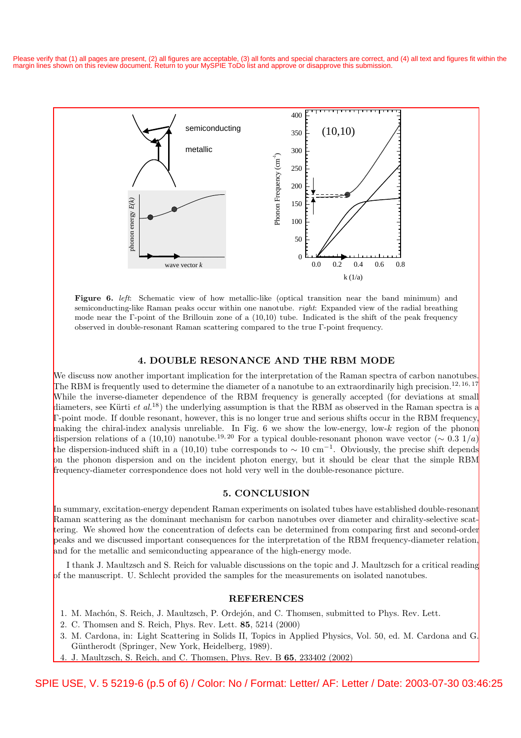

**Figure 6.** *left*: Schematic view of how metallic-like (optical transition near the band minimum) and semiconducting-like Raman peaks occur within one nanotube. *right*: Expanded view of the radial breathing mode near the Γ-point of the Brillouin zone of a (10,10) tube. Indicated is the shift of the peak frequency observed in double-resonant Raman scattering compared to the true Γ-point frequency.

#### **4. DOUBLE RESONANCE AND THE RBM MODE**

We discuss now another important implication for the interpretation of the Raman spectra of carbon nanotubes. The RBM is frequently used to determine the diameter of a nanotube to an extraordinarily high precision.<sup>12, 16, 17</sup> While the inverse-diameter dependence of the RBM frequency is generally accepted (for deviations at small diameters, see Kürti *et al.*<sup>18</sup>) the underlying assumption is that the RBM as observed in the Raman spectra is a Γ-point mode. If double resonant, however, this is no longer true and serious shifts occur in the RBM frequency, making the chiral-index analysis unreliable. In Fig. 6 we show the low-energy, low-k region of the phonon dispersion relations of a (10,10) nanotube.<sup>19, 20</sup> For a typical double-resonant phonon wave vector (∼ 0.3 1/a) the dispersion-induced shift in a (10,10) tube corresponds to  $\sim 10 \text{ cm}^{-1}$ . Obviously, the precise shift depends on the phonon dispersion and on the incident photon energy, but it should be clear that the simple RBM frequency-diameter correspondence does not hold very well in the double-resonance picture.

#### **5. CONCLUSION**

In summary, excitation-energy dependent Raman experiments on isolated tubes have established double-resonant Raman scattering as the dominant mechanism for carbon nanotubes over diameter and chirality-selective scattering. We showed how the concentration of defects can be determined from comparing first and second-order peaks and we discussed important consequences for the interpretation of the RBM frequency-diameter relation, and for the metallic and semiconducting appearance of the high-energy mode.

I thank J. Maultzsch and S. Reich for valuable discussions on the topic and J. Maultzsch for a critical reading of the manuscript. U. Schlecht provided the samples for the measurements on isolated nanotubes.

## **REFERENCES**

- 1. M. Machón, S. Reich, J. Maultzsch, P. Ordejón, and C. Thomsen, submitted to Phys. Rev. Lett.
- 2. C. Thomsen and S. Reich, Phys. Rev. Lett. **85**, 5214 (2000)
- 3. M. Cardona, in: Light Scattering in Solids II, Topics in Applied Physics, Vol. 50, ed. M. Cardona and G. Güntherodt (Springer, New York, Heidelberg, 1989).
- 4. J. Maultzsch, S. Reich, and C. Thomsen, Phys. Rev. B **65**, 233402 (2002)

SPIE USE, V. 5 5219-6 (p.5 of 6) / Color: No / Format: Letter/ AF: Letter / Date: 2003-07-30 03:46:25